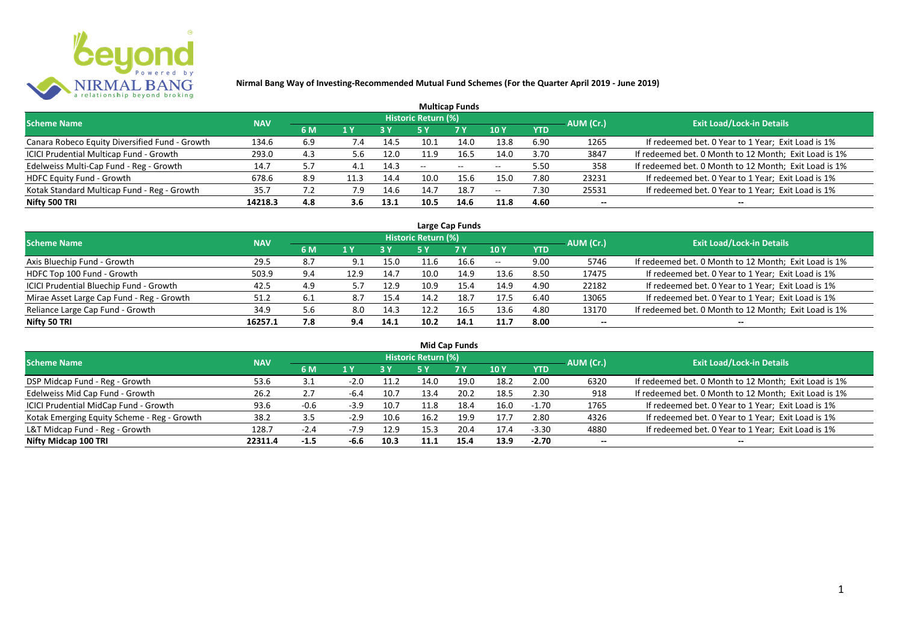

| <b>Multicap Funds</b>                          |            |     |      |            |                     |                          |                          |            |           |                                                       |  |  |  |  |
|------------------------------------------------|------------|-----|------|------------|---------------------|--------------------------|--------------------------|------------|-----------|-------------------------------------------------------|--|--|--|--|
| <b>Scheme Name</b>                             | <b>NAV</b> |     |      |            | Historic Return (%) |                          |                          |            | AUM (Cr.) | <b>Exit Load/Lock-in Details</b>                      |  |  |  |  |
|                                                |            | 6 M | 1 Y  | <b>3 Y</b> |                     | <b>7 Y</b>               | <b>10Y</b>               | <b>YTD</b> |           |                                                       |  |  |  |  |
| Canara Robeco Equity Diversified Fund - Growth | 134.6      | 6.9 | 7.4  | 14.5       | 10.1                | 14.0                     | 13.8                     | 6.90       | 1265      | If redeemed bet. 0 Year to 1 Year; Exit Load is 1%    |  |  |  |  |
| ICICI Prudential Multicap Fund - Growth        | 293.0      | 4.3 | 5.6  | 12.0       | 11.9                | 16.5                     | 14.0                     | 3.70       | 3847      | If redeemed bet. 0 Month to 12 Month; Exit Load is 1% |  |  |  |  |
| Edelweiss Multi-Cap Fund - Reg - Growth        | 14.7       | 5.7 | 4.1  | 14.3       | $- -$               | $\overline{\phantom{a}}$ | $\overline{\phantom{m}}$ | 5.50       | 358       | If redeemed bet. 0 Month to 12 Month; Exit Load is 1% |  |  |  |  |
| HDFC Equity Fund - Growth                      | 678.6      | 8.9 | 11.3 | 14.4       | 10.0                | 15.6                     | 15.0                     | 7.80       | 23231     | If redeemed bet. 0 Year to 1 Year; Exit Load is 1%    |  |  |  |  |
| Kotak Standard Multicap Fund - Reg - Growth    | 35.7       |     | 7.9  | 14.6       | 14.7                | 18.7                     | $\overline{\phantom{a}}$ | 7.30       | 25531     | If redeemed bet. 0 Year to 1 Year; Exit Load is 1%    |  |  |  |  |
| Nifty 500 TRI                                  | 14218.3    | 4.8 | 3.6  | 13.1       | 10.5                | 14.6                     | 11.8                     | 4.60       | $- -$     | --                                                    |  |  |  |  |

| Large Cap Funds                                |            |     |      |      |                     |            |            |            |           |                                                       |  |  |  |
|------------------------------------------------|------------|-----|------|------|---------------------|------------|------------|------------|-----------|-------------------------------------------------------|--|--|--|
| <b>Scheme Name</b>                             | <b>NAV</b> |     |      |      | Historic Return (%) |            |            |            | AUM (Cr.) | <b>Exit Load/Lock-in Details</b>                      |  |  |  |
|                                                |            | 6 M | 1 Y  |      | 5 Y                 | <b>7 Y</b> | <b>10Y</b> | <b>YTD</b> |           |                                                       |  |  |  |
| Axis Bluechip Fund - Growth                    | 29.5       | 8.7 |      | 15.0 |                     | 16.6       | $\sim$ $-$ | 9.00       | 5746      | If redeemed bet. 0 Month to 12 Month; Exit Load is 1% |  |  |  |
| HDFC Top 100 Fund - Growth                     | 503.9      | 9.4 | 12.9 | 14.7 | 10.0                | 14.9       | 13.6       | 8.50       | 17475     | If redeemed bet. 0 Year to 1 Year; Exit Load is 1%    |  |  |  |
| <b>ICICI Prudential Bluechip Fund - Growth</b> | 42.5       | 4.9 |      | 12.9 | 10.9                | 15.4       | 14.9       | 4.90       | 22182     | If redeemed bet. 0 Year to 1 Year; Exit Load is 1%    |  |  |  |
| Mirae Asset Large Cap Fund - Reg - Growth      | 51.2       | 6.1 | 8.7  | 15.4 | 14.2                | 18.7       | 17.5       | 6.40       | 13065     | If redeemed bet. 0 Year to 1 Year; Exit Load is 1%    |  |  |  |
| Reliance Large Cap Fund - Growth               | 34.9       | 5.6 | 8.0  | 14.3 |                     | 16.5       | 13.6       | 4.80       | 13170     | If redeemed bet. 0 Month to 12 Month; Exit Load is 1% |  |  |  |
| Nifty 50 TRI                                   | 16257.1    | 7.8 | 9.4  | 14.1 | 10.2                | 14.1       | 11.7       | 8.00       |           | $- -$                                                 |  |  |  |

| <b>Mid Cap Funds</b>                        |            |        |        |      |                            |      |      |            |                          |                                                       |  |  |  |
|---------------------------------------------|------------|--------|--------|------|----------------------------|------|------|------------|--------------------------|-------------------------------------------------------|--|--|--|
| <b>Scheme Name</b>                          | <b>NAV</b> |        |        |      | <b>Historic Return (%)</b> |      |      |            | AUM (Cr.)                | <b>Exit Load/Lock-in Details</b>                      |  |  |  |
|                                             |            | 6 M    | 1 Y    | 3 Y  | 5 Y                        | 7 Y  | 10 Y | <b>YTD</b> |                          |                                                       |  |  |  |
| DSP Midcap Fund - Reg - Growth              | 53.6       | 3.1    | $-2.0$ | 11.2 | 14.0                       | 19.0 | 18.2 | 2.00       | 6320                     | If redeemed bet. 0 Month to 12 Month; Exit Load is 1% |  |  |  |
| Edelweiss Mid Cap Fund - Growth             | 26.2       | 2.7    | -6.4   | 10.7 | 13.4                       | 20.2 | 18.5 | 2.30       | 918                      | If redeemed bet. 0 Month to 12 Month; Exit Load is 1% |  |  |  |
| ICICI Prudential MidCap Fund - Growth       | 93.6       | -0.6   | $-3.9$ | 10.7 | 11.8                       | 18.4 | 16.0 | $-1.70$    | 1765                     | If redeemed bet. 0 Year to 1 Year; Exit Load is 1%    |  |  |  |
| Kotak Emerging Equity Scheme - Reg - Growth | 38.2       | 3.5    | $-2.9$ | 10.6 | 16.2                       | 19.9 | 17.7 | 2.80       | 4326                     | If redeemed bet. 0 Year to 1 Year; Exit Load is 1%    |  |  |  |
| L&T Midcap Fund - Reg - Growth              | 128.7      | $-2.4$ |        | 12.9 | 15.3                       | 20.4 | 17.4 | $-3.30$    | 4880                     | If redeemed bet. 0 Year to 1 Year; Exit Load is 1%    |  |  |  |
| Nifty Midcap 100 TRI                        | 22311.4    | $-1.5$ | -6.6   | 10.3 | 11.1                       | 15.4 | 13.9 | $-2.70$    | $\overline{\phantom{a}}$ | --                                                    |  |  |  |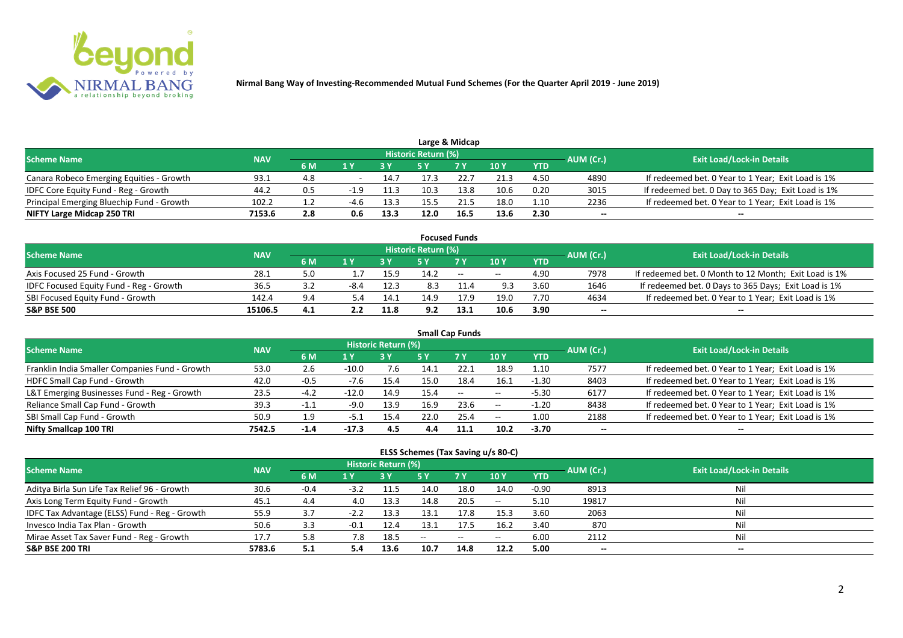

|                                           |            |     |        |      |                     | Large & Midcap |      |            |           |                                                    |
|-------------------------------------------|------------|-----|--------|------|---------------------|----------------|------|------------|-----------|----------------------------------------------------|
| <b>Scheme Name</b>                        | <b>NAV</b> |     |        |      | Historic Return (%) |                |      |            | AUM (Cr.) | <b>Exit Load/Lock-in Details</b>                   |
|                                           |            | 6 M |        |      |                     | 7 V            | 10 Y | <b>YTD</b> |           |                                                    |
| Canara Robeco Emerging Equities - Growth  | 93.1       | 4.8 |        | 14.7 |                     |                | 21.3 | 4.50       | 4890      | If redeemed bet. 0 Year to 1 Year; Exit Load is 1% |
| IDFC Core Equity Fund - Reg - Growth      | 44.2       | 0.5 | $-1.9$ | 11.3 | 10.3                | 13.8           | 10.6 | 0.20       | 3015      | If redeemed bet. 0 Day to 365 Day; Exit Load is 1% |
| Principal Emerging Bluechip Fund - Growth | 102.2      |     | $-4.6$ | 13.3 |                     |                | 18.0 | 1.10       | 2236      | If redeemed bet. 0 Year to 1 Year; Exit Load is 1% |
| NIFTY Large Midcap 250 TRI                | 7153.6     | 2.8 | 0.6    | 13.3 | 12.0                | 16.5           | 13.6 | 2.30       | --        | $- -$                                              |

|                                                |            |     |     |      |                     | <b>Focused Funds</b> |            |            |           |                                                       |
|------------------------------------------------|------------|-----|-----|------|---------------------|----------------------|------------|------------|-----------|-------------------------------------------------------|
| <b>Scheme Name</b>                             | <b>NAV</b> |     |     |      | Historic Return (%) |                      |            |            | AUM (Cr.) | <b>Exit Load/Lock-in Details</b>                      |
|                                                |            | 6 M | 1 V |      |                     | 7 Y                  | 10Y        | <b>YTD</b> |           |                                                       |
| Axis Focused 25 Fund - Growth                  | 28.1       | 5.0 |     | 15.9 | 14.2                | $ -$                 | $\sim$ $-$ | 4.90       | 7978      | If redeemed bet. 0 Month to 12 Month; Exit Load is 1% |
| <b>IDFC Focused Equity Fund - Reg - Growth</b> | 36.5       |     |     | 12.3 | 8.3                 |                      | 9.3        | 3.60       | 1646      | If redeemed bet. 0 Days to 365 Days; Exit Load is 1%  |
| SBI Focused Equity Fund - Growth               | 142.4      | 9.4 | 5.4 | 14.1 | 14.9                | 17.9                 | 19.0       | 7.70       | 4634      | If redeemed bet. 0 Year to 1 Year; Exit Load is 1%    |
| <b>S&amp;P BSE 500</b>                         | 15106.5    | 4.1 |     | 11.8 | 9.2                 | 13.1                 | 10.6       | 3.90       | --        | --                                                    |

| <b>Small Cap Funds</b>                         |            |        |         |                            |      |           |            |            |           |                                                    |  |  |  |
|------------------------------------------------|------------|--------|---------|----------------------------|------|-----------|------------|------------|-----------|----------------------------------------------------|--|--|--|
| <b>Scheme Name</b>                             | <b>NAV</b> |        |         | <b>Historic Return (%)</b> |      |           |            |            | AUM (Cr.) | <b>Exit Load/Lock-in Details</b>                   |  |  |  |
|                                                |            | 6 M    | 1 Y     |                            | 5 Y  | <b>7Y</b> | 10Y        | <b>YTD</b> |           |                                                    |  |  |  |
| Franklin India Smaller Companies Fund - Growth | 53.0       | 2.6    | $-10.0$ | 7.6                        | 14.1 | 22.1      | 18.9       | 1.10       | 7577      | If redeemed bet. 0 Year to 1 Year; Exit Load is 1% |  |  |  |
| HDFC Small Cap Fund - Growth                   | 42.0       | $-0.5$ | $-7.6$  | 15.4                       | 15.0 | 18.4      | 16.1       | $-1.30$    | 8403      | If redeemed bet. 0 Year to 1 Year; Exit Load is 1% |  |  |  |
| L&T Emerging Businesses Fund - Reg - Growth    | 23.5       | $-4.2$ | $-12.0$ | 14.9                       | 15.4 | $\sim$    | $- -$      | $-5.30$    | 6177      | If redeemed bet. 0 Year to 1 Year; Exit Load is 1% |  |  |  |
| Reliance Small Cap Fund - Growth               | 39.3       | -1.1   | $-9.0$  | 13.9                       | 16.9 | 23.6      | $\sim$ $-$ | $-1.20$    | 8438      | If redeemed bet. 0 Year to 1 Year; Exit Load is 1% |  |  |  |
| SBI Small Cap Fund - Growth                    | 50.9       | 1.9    | -5.1    | 15.4                       | 22.0 | 25.4      | $- -$      | 1.00       | 2188      | If redeemed bet. 0 Year to 1 Year; Exit Load is 1% |  |  |  |
| Nifty Smallcap 100 TRI                         | 7542.5     | -1.4   | $-17.3$ | 4.5                        | 4.4  | 11.1      | 10.2       | $-3.70$    | $- -$     | --                                                 |  |  |  |

#### **ELSS Schemes (Tax Saving u/s 80-C)**

| <b>Scheme Name</b>                            | <b>NAV</b> |        |        | <b>Historic Return (%)</b> |      |           |                 |            | AUM (Cr.)                | <b>Exit Load/Lock-in Details</b> |
|-----------------------------------------------|------------|--------|--------|----------------------------|------|-----------|-----------------|------------|--------------------------|----------------------------------|
|                                               |            | 6 M    | 1 Y    |                            | 5 Y  | <b>7Y</b> | 10 <sub>Y</sub> | <b>YTD</b> |                          |                                  |
| Aditya Birla Sun Life Tax Relief 96 - Growth  | 30.6       | $-0.4$ | $-3.2$ | 11.5                       | 14.0 | 18.0      | 14.0            | $-0.90$    | 8913                     | Nil                              |
| Axis Long Term Equity Fund - Growth           | 45.1       | 4.4    | 4.0    | 13.3                       | 14.8 | 20.5      | $- -$           | 5.10       | 19817                    | Nil                              |
| IDFC Tax Advantage (ELSS) Fund - Reg - Growth | 55.9       | 3.7    | $-2.2$ | 13.3                       | 13.1 | 17.8      | 15.3            | 3.60       | 2063                     | Nil                              |
| Invesco India Tax Plan - Growth               | 50.6       | 3.3    | -0.1   | 12.4                       | 13.1 | 17.5      | 16.2            | 3.40       | 870                      | Nil                              |
| Mirae Asset Tax Saver Fund - Reg - Growth     | 17.7       | 5.8    | 7.8    | 18.5                       | $-$  | $--$      | $- -$           | 6.00       | 2112                     | Nil                              |
| <b>S&amp;P BSE 200 TRI</b>                    | 5783.6     | 5.1    |        | 13.6                       | 10.7 | 14.8      | 12.2            | 5.00       | $\overline{\phantom{a}}$ | $- -$                            |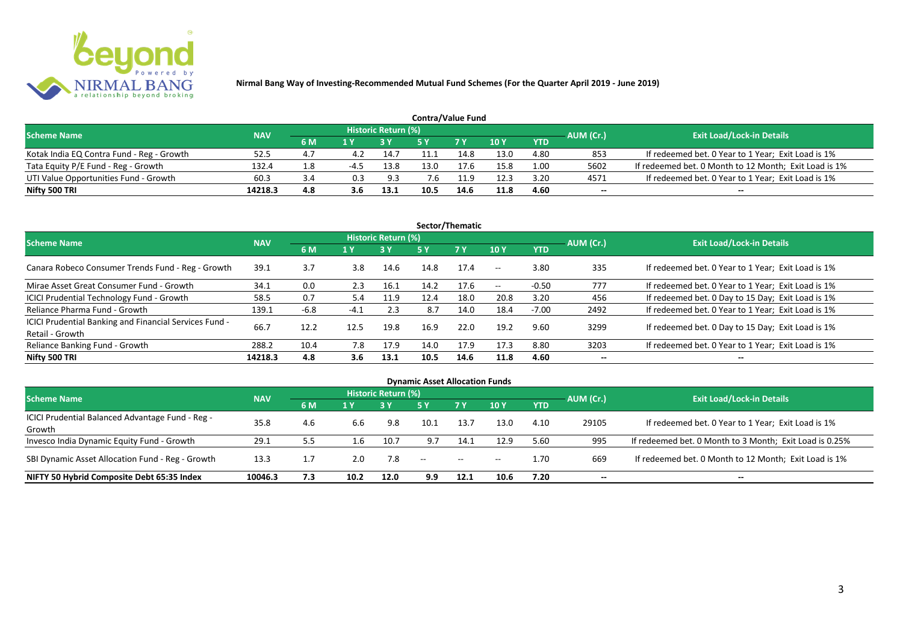

| <b>Contra/Value Fund</b>                  |            |     |      |                     |      |            |      |            |           |                                                       |  |  |  |
|-------------------------------------------|------------|-----|------|---------------------|------|------------|------|------------|-----------|-------------------------------------------------------|--|--|--|
| <b>Scheme Name</b>                        | <b>NAV</b> |     |      | Historic Return (%) |      |            |      |            | AUM (Cr.) | <b>Exit Load/Lock-in Details</b>                      |  |  |  |
|                                           |            | 6 M |      |                     |      | <b>7 Y</b> | 10Y  | <b>YTD</b> |           |                                                       |  |  |  |
| Kotak India EQ Contra Fund - Reg - Growth | 52.5       | 4.7 | 4.2  | 14.7                |      | 14.8       | 13.0 | 4.80       | 853       | If redeemed bet. 0 Year to 1 Year; Exit Load is 1%    |  |  |  |
| Tata Equity P/E Fund - Reg - Growth       | 132.4      | 1.8 | -4.J | 13.8                | 13.0 | 17.6       | 15.8 | 1.00       | 5602      | If redeemed bet. 0 Month to 12 Month; Exit Load is 1% |  |  |  |
| UTI Value Opportunities Fund - Growth     | 60.3       | 3.4 | 0.3  | 9.3                 | 7.6  | 11.9       | 12.3 | 3.20       | 4571      | If redeemed bet. 0 Year to 1 Year; Exit Load is 1%    |  |  |  |
| Nifty 500 TRI                             | 14218.3    | 4.8 |      | 13.1                | 10.5 | 14.6       | 11.8 | 4.60       | --        | $- -$                                                 |  |  |  |

| Sector/Thematic                                                           |            |        |        |                     |      |           |            |            |           |                                                    |  |  |  |
|---------------------------------------------------------------------------|------------|--------|--------|---------------------|------|-----------|------------|------------|-----------|----------------------------------------------------|--|--|--|
| <b>Scheme Name</b>                                                        | <b>NAV</b> |        |        | Historic Return (%) |      |           |            |            | AUM (Cr.) | <b>Exit Load/Lock-in Details</b>                   |  |  |  |
|                                                                           |            | 6 M    | 1 Y    |                     | 5 Y  | <b>7Y</b> | <b>10Y</b> | <b>YTD</b> |           |                                                    |  |  |  |
| Canara Robeco Consumer Trends Fund - Reg - Growth                         | 39.1       | 3.7    | 3.8    | 14.6                | 14.8 | 17.4      | $--$       | 3.80       | 335       | If redeemed bet. 0 Year to 1 Year; Exit Load is 1% |  |  |  |
| Mirae Asset Great Consumer Fund - Growth                                  | 34.1       | 0.0    | 2.3    | 16.1                | 14.2 | 17.6      | $- -$      | $-0.50$    | 777       | If redeemed bet. 0 Year to 1 Year; Exit Load is 1% |  |  |  |
| ICICI Prudential Technology Fund - Growth                                 | 58.5       | 0.7    | 5.4    | 11.9                | 12.4 | 18.0      | 20.8       | 3.20       | 456       | If redeemed bet. 0 Day to 15 Day; Exit Load is 1%  |  |  |  |
| Reliance Pharma Fund - Growth                                             | 139.1      | $-6.8$ | $-4.1$ | 2.3                 | 8.7  | 14.0      | 18.4       | $-7.00$    | 2492      | If redeemed bet. 0 Year to 1 Year; Exit Load is 1% |  |  |  |
| ICICI Prudential Banking and Financial Services Fund -<br>Retail - Growth | 66.7       | 12.2   | 12.5   | 19.8                | 16.9 | 22.0      | 19.2       | 9.60       | 3299      | If redeemed bet. 0 Day to 15 Day; Exit Load is 1%  |  |  |  |
| Reliance Banking Fund - Growth                                            | 288.2      | 10.4   | 7.8    | 17.9                | 14.0 | 17.9      | 17.3       | 8.80       | 3203      | If redeemed bet. 0 Year to 1 Year; Exit Load is 1% |  |  |  |
| Nifty 500 TRI                                                             | 14218.3    | 4.8    | 3.6    | 13.1                | 10.5 | 14.6      | 11.8       | 4.60       |           | $\overline{\phantom{a}}$                           |  |  |  |

| <b>Dynamic Asset Allocation Funds</b>            |            |     |         |                            |            |           |            |            |           |                                                         |  |  |  |
|--------------------------------------------------|------------|-----|---------|----------------------------|------------|-----------|------------|------------|-----------|---------------------------------------------------------|--|--|--|
| <b>Scheme Name</b>                               | <b>NAV</b> |     |         | <b>Historic Return (%)</b> |            |           |            |            |           | <b>Exit Load/Lock-in Details</b>                        |  |  |  |
|                                                  |            | 6 M | 1 Y     |                            | <b>5 Y</b> | <b>7Y</b> | <b>10Y</b> | <b>YTD</b> | AUM (Cr.) |                                                         |  |  |  |
| ICICI Prudential Balanced Advantage Fund - Reg - | 35.8       | 4.6 | 6.6     | 9.8                        | 10.1       | 13.7      | 13.0       | 4.10       | 29105     | If redeemed bet. 0 Year to 1 Year; Exit Load is 1%      |  |  |  |
| Growth                                           |            |     |         |                            |            |           |            |            |           |                                                         |  |  |  |
| Invesco India Dynamic Equity Fund - Growth       | 29.1       | 5.5 | $1.6\,$ | 10.7                       | 9.7        | 14.1      | 12.9       | 5.60       | 995       | If redeemed bet. 0 Month to 3 Month; Exit Load is 0.25% |  |  |  |
| SBI Dynamic Asset Allocation Fund - Reg - Growth | 13.3       |     | 2.0     | 7.8                        | $--$       | $\sim$    | $\sim$     | 1.70       | 669       | If redeemed bet. 0 Month to 12 Month; Exit Load is 1%   |  |  |  |
| NIFTY 50 Hybrid Composite Debt 65:35 Index       | 10046.3    | 7.3 | 10.2    | 12.0                       | 9.9        | 12.1      | 10.6       | 7.20       | --        | $- -$                                                   |  |  |  |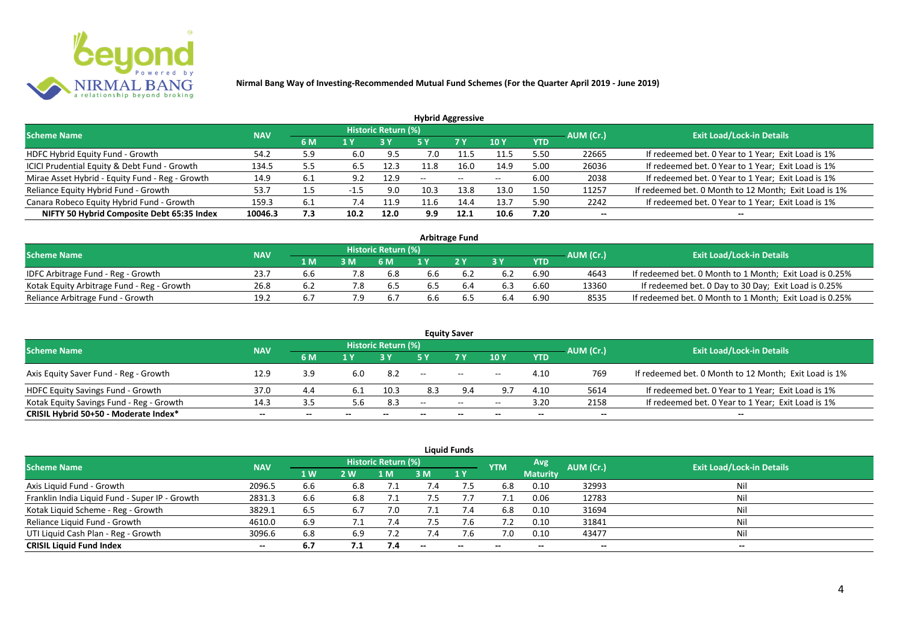

| <b>Hybrid Aggressive</b>                        |            |     |        |                            |      |       |             |            |           |                                                       |  |  |  |
|-------------------------------------------------|------------|-----|--------|----------------------------|------|-------|-------------|------------|-----------|-------------------------------------------------------|--|--|--|
| <b>Scheme Name</b>                              | <b>NAV</b> |     |        | <b>Historic Return (%)</b> |      |       |             |            | AUM (Cr.) | <b>Exit Load/Lock-in Details</b>                      |  |  |  |
|                                                 |            | 6 M | 1 Y    |                            | 5 Y  | 7 Y   | <b>10 Y</b> | <b>YTD</b> |           |                                                       |  |  |  |
| HDFC Hybrid Equity Fund - Growth                | 54.2       | 5.9 | 6.0    | -9.5                       | 7.0  |       | 11.5        | 5.50       | 22665     | If redeemed bet. 0 Year to 1 Year; Exit Load is 1%    |  |  |  |
| ICICI Prudential Equity & Debt Fund - Growth    | 134.5      | 5.5 | 6.5    | 12.3                       |      | 16.0  | 14.9        | 5.00       | 26036     | If redeemed bet. 0 Year to 1 Year; Exit Load is 1%    |  |  |  |
| Mirae Asset Hybrid - Equity Fund - Reg - Growth | 14.9       | 6.1 | 9.2    | 12.9                       | --   | $- -$ | $-$         | 6.00       | 2038      | If redeemed bet. 0 Year to 1 Year; Exit Load is 1%    |  |  |  |
| Reliance Equity Hybrid Fund - Growth            | 53.7       |     | $-1.5$ | 9.0                        | 10.3 | 13.8  | 13.0        | 1.50       | 11257     | If redeemed bet. 0 Month to 12 Month; Exit Load is 1% |  |  |  |
| Canara Robeco Equity Hybrid Fund - Growth       | 159.3      | 6.1 |        | 11.9                       | 11.b | 14.4  | 13.7        | 5.90       | 2242      | If redeemed bet. 0 Year to 1 Year; Exit Load is 1%    |  |  |  |
| NIFTY 50 Hybrid Composite Debt 65:35 Index      | 10046.3    | 7.3 | 10.2   | 12.0                       | 9.9  | 12.1  | 10.6        | 7.20       | $- -$     |                                                       |  |  |  |
|                                                 |            |     |        |                            |      |       |             |            |           |                                                       |  |  |  |

| <b>Arbitrage Fund</b>                      |            |      |     |                            |     |     |     |            |           |                                                         |  |  |  |
|--------------------------------------------|------------|------|-----|----------------------------|-----|-----|-----|------------|-----------|---------------------------------------------------------|--|--|--|
| <b>Scheme Name</b>                         | <b>NAV</b> |      |     | <b>Historic Return (%)</b> |     |     |     |            | AUM (Cr.) | <b>Exit Load/Lock-in Details</b>                        |  |  |  |
|                                            |            | 1 M. |     | 6 M                        |     | 2V  |     | <b>YTD</b> |           |                                                         |  |  |  |
| IDFC Arbitrage Fund - Reg - Growth         | 23.7       | 6.b  |     | 6.8                        | 6.6 |     | 6.2 | 6.90       | 4643      | If redeemed bet. 0 Month to 1 Month; Exit Load is 0.25% |  |  |  |
| Kotak Equity Arbitrage Fund - Reg - Growth | 26.8       |      | 7.8 | b.5                        | 6.5 | 6.4 | 6.3 | 6.60       | 13360     | If redeemed bet. 0 Day to 30 Day; Exit Load is 0.25%    |  |  |  |
| Reliance Arbitrage Fund - Growth           | 19.2       |      | 7.9 | 6.7                        | d.c |     | 6.4 | 6.90       | 8535      | If redeemed bet. 0 Month to 1 Month; Exit Load is 0.25% |  |  |  |

|                                          |            |       |       |                     |                          | <b>Equity Saver</b> |                          |            |                          |                                                       |
|------------------------------------------|------------|-------|-------|---------------------|--------------------------|---------------------|--------------------------|------------|--------------------------|-------------------------------------------------------|
| <b>Scheme Name</b>                       | <b>NAV</b> |       |       | Historic Return (%) |                          |                     |                          |            | AUM (Cr.)                | <b>Exit Load/Lock-in Details</b>                      |
|                                          |            | 6 M   |       |                     |                          | <b>7 Y</b>          | <b>10Y</b>               | <b>YTD</b> |                          |                                                       |
| Axis Equity Saver Fund - Reg - Growth    | 12.9       | 3.9   | 6.0   | 8.2                 | $\overline{\phantom{a}}$ | $\sim$              | $\overline{\phantom{a}}$ | 4.10       | 769                      | If redeemed bet. 0 Month to 12 Month; Exit Load is 1% |
| HDFC Equity Savings Fund - Growth        | 37.0       | 4.4   | 6.1   | 10.3                | 8.3                      |                     | 9.7                      | 4.10       | 5614                     | If redeemed bet. 0 Year to 1 Year; Exit Load is 1%    |
| Kotak Equity Savings Fund - Reg - Growth | 14.3       |       | 5.6   | 8.3                 | $-$                      | $\sim$ $\sim$       | $- -$                    | 3.20       | 2158                     | If redeemed bet. 0 Year to 1 Year; Exit Load is 1%    |
| CRISIL Hybrid 50+50 - Moderate Index*    | $- -$      | $- -$ | $- -$ | $- -$               |                          | $- -$               | $\overline{\phantom{a}}$ | $- -$      | $\overline{\phantom{a}}$ | $- -$                                                 |

| <b>Liquid Funds</b>                            |            |     |     |                            |      |                          |            |                 |                          |                                  |  |  |  |  |
|------------------------------------------------|------------|-----|-----|----------------------------|------|--------------------------|------------|-----------------|--------------------------|----------------------------------|--|--|--|--|
| <b>Scheme Name</b>                             | <b>NAV</b> |     |     | <b>Historic Return (%)</b> |      |                          | <b>YTM</b> | Avg.            | AUM (Cr.)                | <b>Exit Load/Lock-in Details</b> |  |  |  |  |
|                                                |            | 1 W | 2 W | 1 M                        | 3 M  | 1Y                       |            | <b>Maturity</b> |                          |                                  |  |  |  |  |
| Axis Liquid Fund - Growth                      | 2096.5     | 6.6 | 6.8 |                            |      |                          | 6.8        | 0.10            | 32993                    | Nil                              |  |  |  |  |
| Franklin India Liquid Fund - Super IP - Growth | 2831.3     | 6.6 | 6.8 |                            | כ. / |                          |            | 0.06            | 12783                    | Nil                              |  |  |  |  |
| Kotak Liquid Scheme - Reg - Growth             | 3829.1     | 6.5 | 6.7 | 7.0                        |      | 7.4                      | 6.8        | 0.10            | 31694                    | Nil                              |  |  |  |  |
| Reliance Liquid Fund - Growth                  | 4610.0     | 6.9 |     |                            | 7.5  | 7.6                      | 7.2        | 0.10            | 31841                    | Nil                              |  |  |  |  |
| UTI Liquid Cash Plan - Reg - Growth            | 3096.6     | 6.8 | 6.9 |                            |      | 7.6                      | 7.0        | 0.10            | 43477                    | Nil                              |  |  |  |  |
| <b>CRISIL Liquid Fund Index</b>                | $- -$      | 6.7 | 7.1 | 7.4                        |      | $\overline{\phantom{a}}$ | $- -$      | --              | $\overline{\phantom{a}}$ | $- -$                            |  |  |  |  |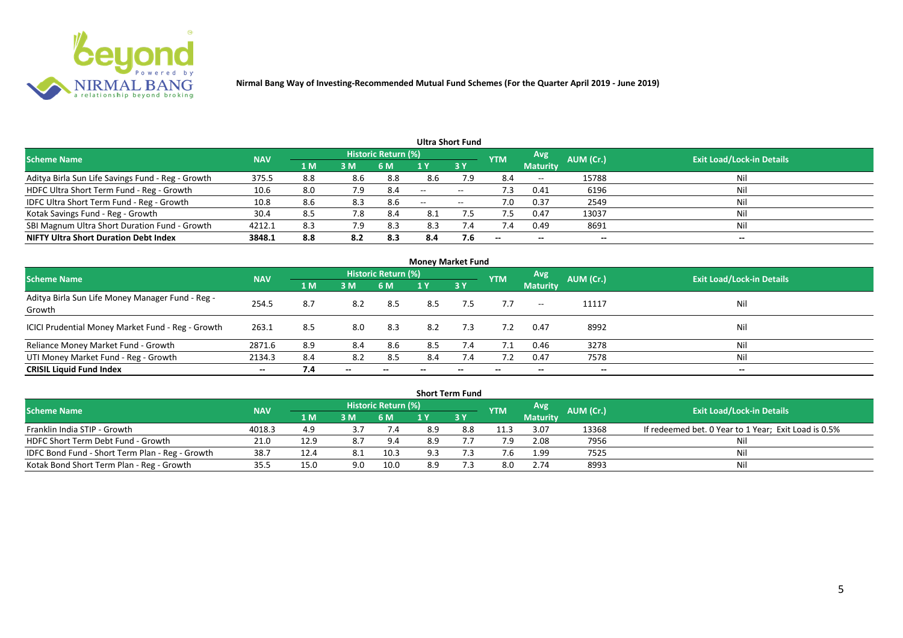

|                                                   |            |     |     |                            |       | Ultra Short Fund  |                          |                          |           |                                  |
|---------------------------------------------------|------------|-----|-----|----------------------------|-------|-------------------|--------------------------|--------------------------|-----------|----------------------------------|
| <b>Scheme Name</b>                                | <b>NAV</b> |     |     | <b>Historic Return (%)</b> |       |                   | <b>YTM</b>               | Avg                      | AUM (Cr.) | <b>Exit Load/Lock-in Details</b> |
|                                                   |            | 1 M | 3M  | 6 M                        |       | 3Y                |                          | <b>Maturity</b>          |           |                                  |
| Aditya Birla Sun Life Savings Fund - Reg - Growth | 375.5      | 8.8 | 8.6 | 8.8                        | 8.6   | 7.9               | 8.4                      | $\overline{\phantom{a}}$ | 15788     | Nil                              |
| HDFC Ultra Short Term Fund - Reg - Growth         | 10.6       | 8.0 | 7.9 | 8.4                        | $-$   | $- -$             | د. ا                     | 0.41                     | 6196      | Nil                              |
| IDFC Ultra Short Term Fund - Reg - Growth         | 10.8       | 8.6 | 8.3 | 8.6                        | $- -$ | $\hspace{0.05cm}$ | 7.0                      | 0.37                     | 2549      | Nil                              |
| Kotak Savings Fund - Reg - Growth                 | 30.4       | 8.5 | 7.8 | 8.4                        | 8.1   |                   |                          | 0.47                     | 13037     | Nil                              |
| SBI Magnum Ultra Short Duration Fund - Growth     | 4212.1     | 8.3 | 7.9 | 8.3                        | 8.3   | 7.4               | 7.4                      | 0.49                     | 8691      | Nil                              |
| <b>NIFTY Ultra Short Duration Debt Index</b>      | 3848.1     | 8.8 | 8.2 | 8.3                        | 8.4   | 7.6               | $\overline{\phantom{a}}$ | $- -$                    | --        | $- -$                            |

|                                                            |            |                |       |                     | <b>Money Market Fund</b> |           |            |                 |           |                                  |
|------------------------------------------------------------|------------|----------------|-------|---------------------|--------------------------|-----------|------------|-----------------|-----------|----------------------------------|
| <b>Scheme Name</b>                                         | <b>NAV</b> |                |       | Historic Return (%) |                          |           | <b>YTM</b> | Avg             | AUM (Cr.) | <b>Exit Load/Lock-in Details</b> |
|                                                            |            | 1 <sub>M</sub> | 3 M   | 6 M                 | 1 Y                      | <b>3Y</b> |            | <b>Maturity</b> |           |                                  |
| Aditya Birla Sun Life Money Manager Fund - Reg -<br>Growth | 254.5      | 8.7            | 8.2   | 8.5                 | 8.5                      | 7.5       | 7.7        | $--$            | 11117     | Nil                              |
| ICICI Prudential Money Market Fund - Reg - Growth          | 263.1      | 8.5            | 8.0   | 8.3                 | 8.2                      | 7.3       | 7.2        | 0.47            | 8992      | Nil                              |
| Reliance Money Market Fund - Growth                        | 2871.6     | 8.9            | 8.4   | 8.6                 | 8.5                      | 7.4       | 7.1        | 0.46            | 3278      | Nil                              |
| UTI Money Market Fund - Reg - Growth                       | 2134.3     | 8.4            | 8.2   | 8.5                 | 8.4                      | 7.4       |            | 0.47            | 7578      | Nil                              |
| <b>CRISIL Liquid Fund Index</b>                            | $- -$      | 7.4            | $- -$ |                     |                          |           | --         | $- -$           | $- -$     | $- -$                            |

| <b>Short Term Fund</b>                          |            |      |     |                     |     |             |            |                 |           |                                                      |  |  |  |
|-------------------------------------------------|------------|------|-----|---------------------|-----|-------------|------------|-----------------|-----------|------------------------------------------------------|--|--|--|
| <b>Scheme Name</b>                              | <b>NAV</b> |      |     | Historic Return (%) |     |             | <b>YTM</b> | Avg             | AUM (Cr.) | <b>Exit Load/Lock-in Details</b>                     |  |  |  |
|                                                 |            | 1 MZ | 3M  | 6 M                 |     | <b>73 Y</b> |            | <b>Maturity</b> |           |                                                      |  |  |  |
| Franklin India STIP - Growth                    | 4018.3     | 4.9  |     | 7.4                 | 8.9 | 8.8         | 11.3       | 3.07            | 13368     | If redeemed bet. 0 Year to 1 Year; Exit Load is 0.5% |  |  |  |
| HDFC Short Term Debt Fund - Growth              | 21.0       | 12.9 | 8.7 | 9.4                 | 8.9 |             | 7.9        | 2.08            | 7956      | Nil                                                  |  |  |  |
| IDFC Bond Fund - Short Term Plan - Reg - Growth | 38.7       | 12.4 | 8.1 | 10.3                | 9.3 |             |            | 1.99            | 7525      | Nil                                                  |  |  |  |
| Kotak Bond Short Term Plan - Reg - Growth       | 35.5       | 15.0 | 9.0 | 10.0                | 8.9 |             | 8.0        | 2.74            | 8993      | Nil                                                  |  |  |  |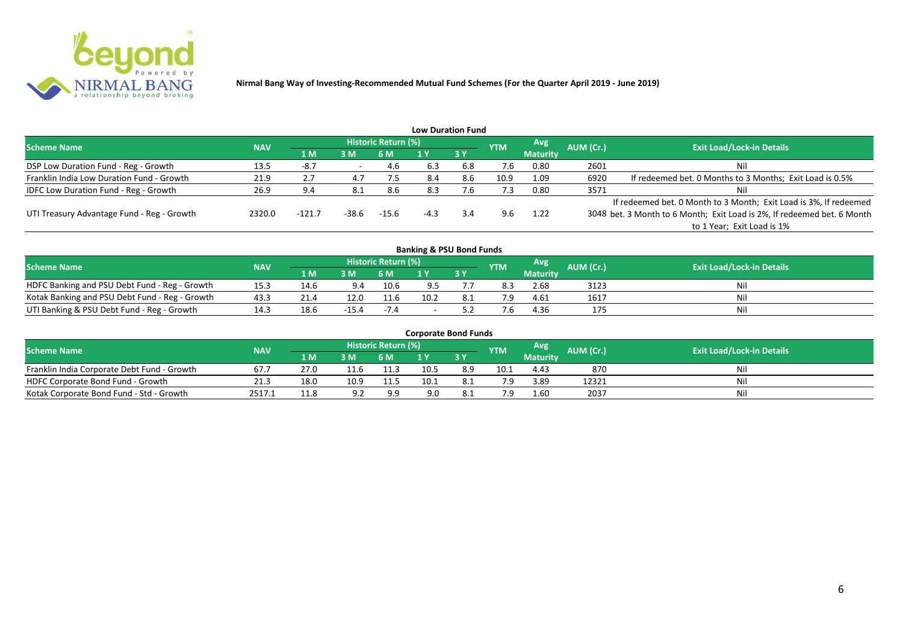

|                                              |            |          |       |                     |        | <b>Low Duration Fund</b> |            |                 |           |                                                                         |
|----------------------------------------------|------------|----------|-------|---------------------|--------|--------------------------|------------|-----------------|-----------|-------------------------------------------------------------------------|
| <b>Scheme Name</b>                           | <b>NAV</b> |          |       | Historic Return (%) |        |                          | <b>YTM</b> | Avg             | AUM (Cr.) | <b>Exit Load/Lock-in Details</b>                                        |
|                                              |            | 1 M      | 3M    | 6 M                 |        | 3Y                       |            | <b>Maturity</b> |           |                                                                         |
| DSP Low Duration Fund - Reg - Growth         | 13.5       | -8.7     |       | -4.6                | 6.3    | 6.8                      | 7.6        | 0.80            | 2601      | Nil                                                                     |
| Franklin India Low Duration Fund - Growth    | 21.9       | 2.7      | 4.7   | 7.5                 | 8.4    | 8.6                      | 10.9       | 1.09            | 6920      | If redeemed bet. 0 Months to 3 Months; Exit Load is 0.5%                |
| <b>IDFC Low Duration Fund - Reg - Growth</b> | 26.9       | 9.4      | -8.1  | 8.6                 | 8.3    | '.b                      | 7.3        | 0.80            | 3571      | Nil                                                                     |
|                                              |            |          |       |                     |        |                          |            |                 |           | If redeemed bet. 0 Month to 3 Month; Exit Load is 3%, If redeemed       |
| UTI Treasury Advantage Fund - Reg - Growth   | 2320.0     | $-121.7$ | -38.6 | $-15.6$             | $-4.3$ | 3.4                      | 9.6        | 1.22            |           | 3048 bet. 3 Month to 6 Month; Exit Load is 2%, If redeemed bet. 6 Month |
|                                              |            |          |       |                     |        |                          |            |                 |           | to 1 Year; Exit Load is 1%                                              |
|                                              |            |          |       |                     |        |                          |            |                 |           |                                                                         |

| <b>Banking &amp; PSU Bond Funds</b>            |            |      |         |                     |      |    |            |                 |                  |                                  |  |  |  |
|------------------------------------------------|------------|------|---------|---------------------|------|----|------------|-----------------|------------------|----------------------------------|--|--|--|
| <b>Scheme Name</b>                             | <b>NAV</b> |      |         | Historic Return (%) |      |    | <b>YTM</b> | Avg             | <b>AUM</b> (Cr.) | <b>Exit Load/Lock-in Details</b> |  |  |  |
|                                                |            | 1 M  | 3 M     | 6 M                 |      | 3Y |            | <b>Maturity</b> |                  |                                  |  |  |  |
| HDFC Banking and PSU Debt Fund - Reg - Growth  | 15.3       | 14.6 |         | 10.6                |      |    |            | 2.68            | 3123             | Nil                              |  |  |  |
| Kotak Banking and PSU Debt Fund - Reg - Growth | 43.3       | 21.4 | 12.0    | 11.6                | 10.2 |    | 7.9        | 4.61            | 1617             | Nil                              |  |  |  |
| UTI Banking & PSU Debt Fund - Reg - Growth     | 14.5       | 18.6 | $-15.4$ | $-7.4$              |      |    |            | 4.36            | 175              | Nil                              |  |  |  |

| <b>Corporate Bond Funds</b>                 |            |      |      |                            |      |       |            |                 |                  |                                  |  |  |  |
|---------------------------------------------|------------|------|------|----------------------------|------|-------|------------|-----------------|------------------|----------------------------------|--|--|--|
| <b>Scheme Name</b>                          | <b>NAV</b> |      |      | <b>Historic Return (%)</b> |      |       | <b>YTM</b> | <b>Avg</b>      | <b>AUM</b> (Cr.) | <b>Exit Load/Lock-in Details</b> |  |  |  |
|                                             |            | 1 M  | 3 M  | 6 M                        |      | 73 Y. |            | <b>Maturity</b> |                  |                                  |  |  |  |
| Franklin India Corporate Debt Fund - Growth | 67.        | 27.0 |      | 11.3                       | 10.5 | 8.9   | 10.1       | 4.43            | 870              | Nil                              |  |  |  |
| HDFC Corporate Bond Fund - Growth           | 21.3       | 18.0 | 10.9 | 11.5                       | 10.1 | 8.1   | 7.9        | 3.89            | 12321            | Nil                              |  |  |  |
| Kotak Corporate Bond Fund - Std - Growth    | 2517.1     | 11.8 |      | 9.9                        | 9.0  |       | 7 Q        | 1.60            | 2037             | Nil                              |  |  |  |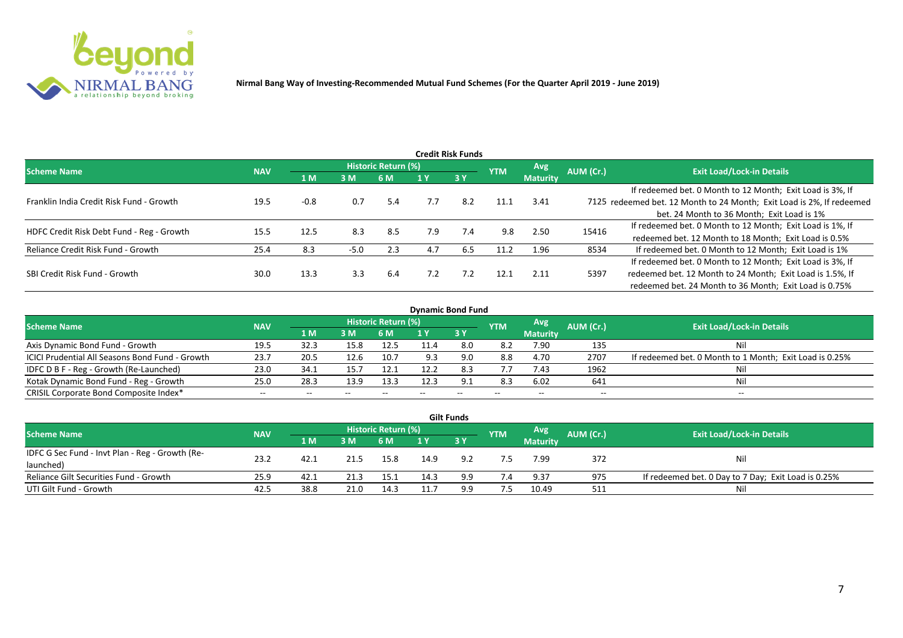

|                                           |            |        |        |                     |     | <b>Credit Risk Funds</b> |            |                 |           |                                                                       |
|-------------------------------------------|------------|--------|--------|---------------------|-----|--------------------------|------------|-----------------|-----------|-----------------------------------------------------------------------|
| <b>Scheme Name</b>                        | <b>NAV</b> |        |        | Historic Return (%) |     |                          | <b>YTM</b> | Avg.            | AUM (Cr.) | <b>Exit Load/Lock-in Details</b>                                      |
|                                           |            | 1 M    | 3M     | 6 M                 |     | 3 Y                      |            | <b>Maturity</b> |           |                                                                       |
|                                           |            |        |        |                     |     |                          |            |                 |           | If redeemed bet. 0 Month to 12 Month; Exit Load is 3%, If             |
| Franklin India Credit Risk Fund - Growth  | 19.5       | $-0.8$ | 0.7    | 5.4                 | 7.7 | 8.2                      | 11.1       | 3.41            |           | 7125 redeemed bet. 12 Month to 24 Month; Exit Load is 2%, If redeemed |
|                                           |            |        |        |                     |     |                          |            |                 |           | bet. 24 Month to 36 Month; Exit Load is 1%                            |
| HDFC Credit Risk Debt Fund - Reg - Growth | 15.5       | 12.5   | 8.3    | 8.5                 | 7.9 | 7.4                      | 9.8        | 2.50            | 15416     | If redeemed bet. 0 Month to 12 Month; Exit Load is 1%, If             |
|                                           |            |        |        |                     |     |                          |            |                 |           | redeemed bet. 12 Month to 18 Month; Exit Load is 0.5%                 |
| Reliance Credit Risk Fund - Growth        | 25.4       | 8.3    | $-5.0$ | 2.3                 | 4.7 | 6.5                      | 11.2       | 1.96            | 8534      | If redeemed bet. 0 Month to 12 Month; Exit Load is 1%                 |
|                                           |            |        |        |                     |     |                          |            |                 |           | If redeemed bet. 0 Month to 12 Month; Exit Load is 3%, If             |
| SBI Credit Risk Fund - Growth             | 30.0       | 13.3   | 3.3    | 6.4                 | 7.2 | 7.2                      | 12.1       | 2.11            | 5397      | redeemed bet. 12 Month to 24 Month; Exit Load is 1.5%, If             |
|                                           |            |        |        |                     |     |                          |            |                 |           | redeemed bet. 24 Month to 36 Month; Exit Load is 0.75%                |

| <b>Dynamic Bond Fund</b>                        |            |       |       |                          |      |           |            |                          |           |                                                         |  |  |  |  |
|-------------------------------------------------|------------|-------|-------|--------------------------|------|-----------|------------|--------------------------|-----------|---------------------------------------------------------|--|--|--|--|
| <b>Scheme Name</b>                              | <b>NAV</b> |       |       | Historic Return (%)      |      |           | <b>YTM</b> | Avg                      | AUM (Cr.) | <b>Exit Load/Lock-in Details</b>                        |  |  |  |  |
|                                                 |            | 1 M   | 3 M   | 6 M                      |      | <b>3Y</b> |            | <b>Maturity</b>          |           |                                                         |  |  |  |  |
| Axis Dynamic Bond Fund - Growth                 | 19.5       | 32.3  | 15.8  | 12.5                     | 11.4 | 8.0       | 8.2        | 7.90                     | 135       | Νi                                                      |  |  |  |  |
| ICICI Prudential All Seasons Bond Fund - Growth | 23.7       | 20.5  | 12.6  | 10.7                     | 9.3  |           | 8.8        | 4.70                     | 2707      | If redeemed bet. 0 Month to 1 Month; Exit Load is 0.25% |  |  |  |  |
| IDFC D B F - Reg - Growth (Re-Launched)         | 23.0       | 34.1  | 15.7  | 12.1                     | 12.2 | 8.3       | 7.7        | 7.43                     | 1962      |                                                         |  |  |  |  |
| Kotak Dynamic Bond Fund - Reg - Growth          | 25.0       | 28.3  | 13.9  | 13.3                     | 12.3 | 9.1       | 8.3        | 6.02                     | 641       | Νi                                                      |  |  |  |  |
| CRISIL Corporate Bond Composite Index*          | $- -$      | $- -$ | $- -$ | $\overline{\phantom{m}}$ |      | $- -$     |            | $\overline{\phantom{a}}$ | $- -$     | $-$                                                     |  |  |  |  |

|                                                 |            |       |      |                     |      | <b>Gilt Funds</b> |            |                 |           |                                                     |
|-------------------------------------------------|------------|-------|------|---------------------|------|-------------------|------------|-----------------|-----------|-----------------------------------------------------|
| <b>Scheme Name</b>                              | <b>NAV</b> |       |      | Historic Return (%) |      |                   | <b>YTM</b> | <b>Avg</b>      | AUM (Cr.) | <b>Exit Load/Lock-in Details</b>                    |
|                                                 |            | 4 M / | 3M   | 6 M                 |      | $-3V$             |            | <b>Maturity</b> |           |                                                     |
| IDFC G Sec Fund - Invt Plan - Reg - Growth (Re- | 23.2       | 42.1  | 21.5 | 15.8                | 14.9 | 9.2               |            | 7.99            | 372       |                                                     |
| launched)                                       |            |       |      |                     |      |                   |            |                 |           | Nil                                                 |
| Reliance Gilt Securities Fund - Growth          | 25.9       | 42.1  |      | 15.1                | 14.3 | 9.9               | 7.4        | 9.37            | 975       | If redeemed bet. 0 Day to 7 Day; Exit Load is 0.25% |
| UTI Gilt Fund - Growth                          | 42.5       | 38.8  | 21.0 | 14.3                |      | 9.9               | 7.5        | 10.49           | 511       | Nil                                                 |